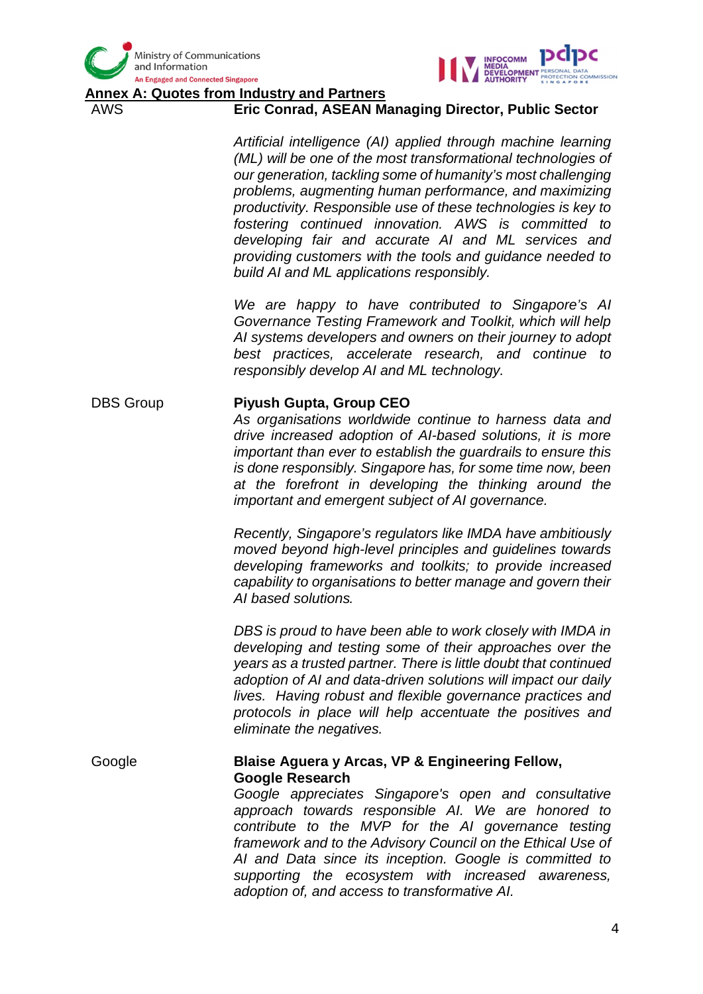



**A: Quotes from Industry and Partners** 

### AWS **Eric Conrad, ASEAN Managing Director, Public Sector**

*Artificial intelligence (AI) applied through machine learning (ML) will be one of the most transformational technologies of our generation, tackling some of humanity's most challenging problems, augmenting human performance, and maximizing productivity. Responsible use of these technologies is key to fostering continued innovation. AWS is committed to developing fair and accurate AI and ML services and providing customers with the tools and guidance needed to build AI and ML applications responsibly.*

*We are happy to have contributed to Singapore's AI Governance Testing Framework and Toolkit, which will help AI systems developers and owners on their journey to adopt best practices, accelerate research, and continue to responsibly develop AI and ML technology.*

#### DBS Group **Piyush Gupta, Group CEO**

*As organisations worldwide continue to harness data and drive increased adoption of AI-based solutions, it is more important than ever to establish the guardrails to ensure this is done responsibly. Singapore has, for some time now, been at the forefront in developing the thinking around the important and emergent subject of AI governance.*

*Recently, Singapore's regulators like IMDA have ambitiously moved beyond high-level principles and guidelines towards developing frameworks and toolkits; to provide increased capability to organisations to better manage and govern their AI based solutions.*

*DBS is proud to have been able to work closely with IMDA in developing and testing some of their approaches over the years as a trusted partner. There is little doubt that continued adoption of AI and data-driven solutions will impact our daily lives. Having robust and flexible governance practices and protocols in place will help accentuate the positives and eliminate the negatives.*

### Google **Blaise Aguera y Arcas, VP & Engineering Fellow, Google Research**

*Google appreciates Singapore's open and consultative approach towards responsible AI. We are honored to contribute to the MVP for the AI governance testing framework and to the Advisory Council on the Ethical Use of AI and Data since its inception. Google is committed to supporting the ecosystem with increased awareness, adoption of, and access to transformative AI.*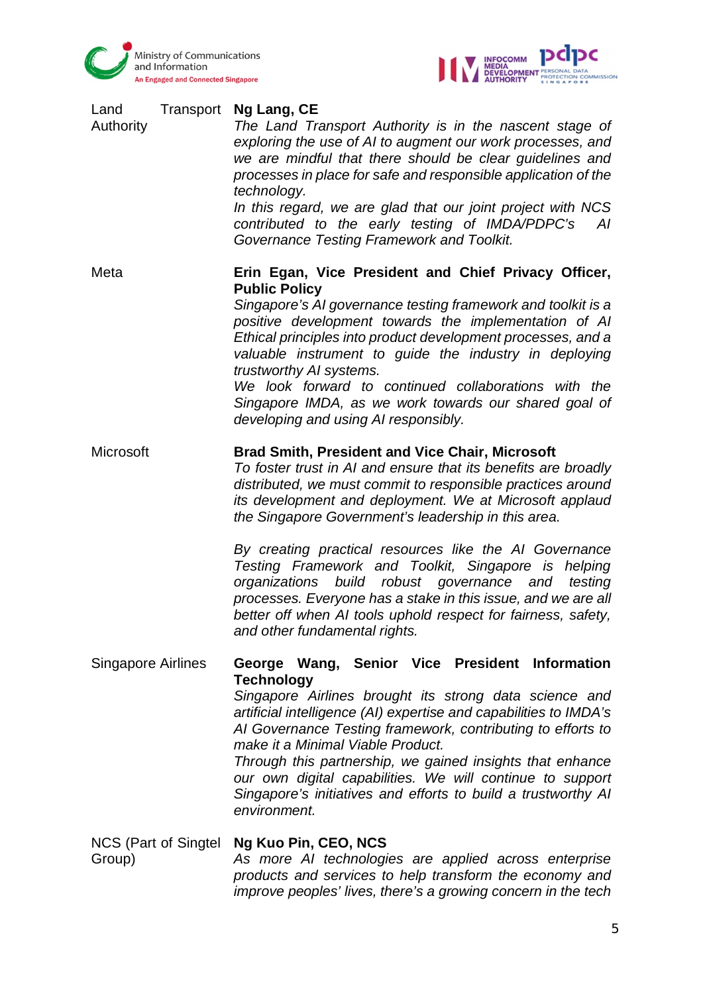



| Transport<br>Land<br>Authority | Ng Lang, CE<br>The Land Transport Authority is in the nascent stage of<br>exploring the use of AI to augment our work processes, and<br>we are mindful that there should be clear guidelines and<br>processes in place for safe and responsible application of the<br>technology.<br>In this regard, we are glad that our joint project with NCS<br>contributed to the early testing of IMDA/PDPC's<br>AI<br>Governance Testing Framework and Toolkit.                                                                                                                                                                                                   |
|--------------------------------|----------------------------------------------------------------------------------------------------------------------------------------------------------------------------------------------------------------------------------------------------------------------------------------------------------------------------------------------------------------------------------------------------------------------------------------------------------------------------------------------------------------------------------------------------------------------------------------------------------------------------------------------------------|
| Meta                           | Erin Egan, Vice President and Chief Privacy Officer,<br><b>Public Policy</b><br>Singapore's AI governance testing framework and toolkit is a<br>positive development towards the implementation of AI<br>Ethical principles into product development processes, and a<br>valuable instrument to quide the industry in deploying<br>trustworthy AI systems.<br>We look forward to continued collaborations with the<br>Singapore IMDA, as we work towards our shared goal of<br>developing and using AI responsibly.                                                                                                                                      |
| Microsoft                      | <b>Brad Smith, President and Vice Chair, Microsoft</b><br>To foster trust in AI and ensure that its benefits are broadly<br>distributed, we must commit to responsible practices around<br>its development and deployment. We at Microsoft applaud<br>the Singapore Government's leadership in this area.<br>By creating practical resources like the AI Governance<br>Testing Framework and Toolkit, Singapore is helping<br>build robust governance and<br>organizations<br>testing<br>processes. Everyone has a stake in this issue, and we are all<br>better off when AI tools uphold respect for fairness, safety,<br>and other fundamental rights. |
| <b>Singapore Airlines</b>      | George Wang, Senior Vice President Information<br><b>Technology</b><br>Singapore Airlines brought its strong data science and<br>artificial intelligence (AI) expertise and capabilities to IMDA's<br>Al Governance Testing framework, contributing to efforts to<br>make it a Minimal Viable Product.<br>Through this partnership, we gained insights that enhance<br>our own digital capabilities. We will continue to support<br>Singapore's initiatives and efforts to build a trustworthy AI<br>environment.                                                                                                                                        |
| NCS (Part of Singtel<br>Group) | Ng Kuo Pin, CEO, NCS<br>As more AI technologies are applied across enterprise<br>products and services to help transform the economy and                                                                                                                                                                                                                                                                                                                                                                                                                                                                                                                 |

*improve peoples' lives, there's a growing concern in the tech*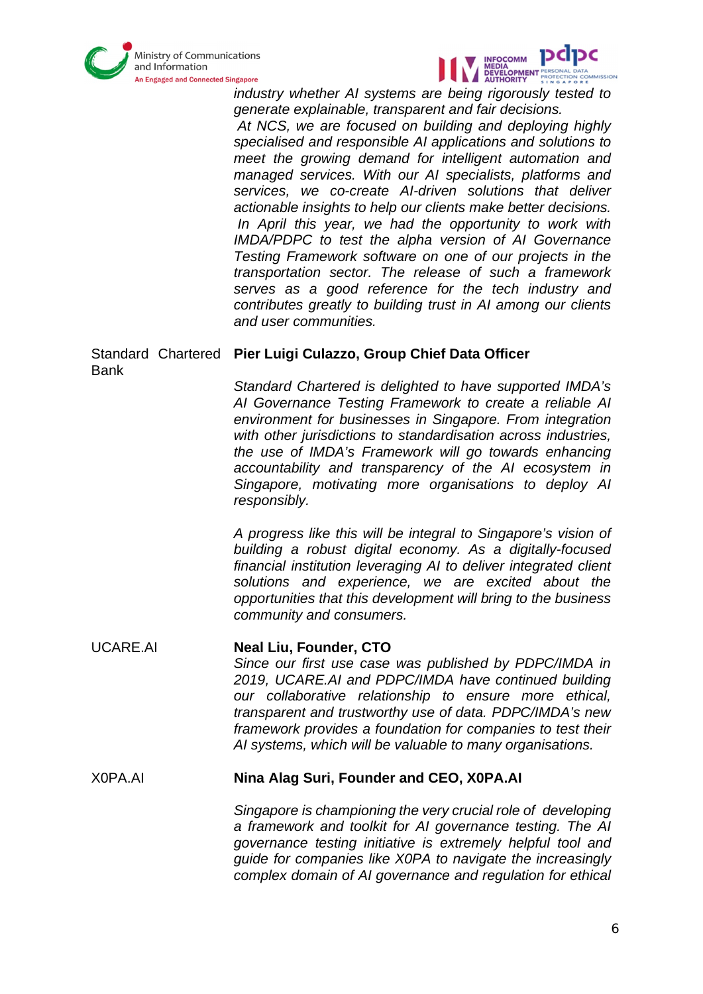



*industry whether AI systems are being rigorously tested to generate explainable, transparent and fair decisions.*

 *At NCS, we are focused on building and deploying highly specialised and responsible AI applications and solutions to meet the growing demand for intelligent automation and managed services. With our AI specialists, platforms and services, we co-create AI-driven solutions that deliver actionable insights to help our clients make better decisions. In April this year, we had the opportunity to work with IMDA/PDPC to test the alpha version of AI Governance Testing Framework software on one of our projects in the transportation sector. The release of such a framework serves as a good reference for the tech industry and contributes greatly to building trust in AI among our clients and user communities.*

# Standard Chartered **Pier Luigi Culazzo, Group Chief Data Officer** Bank

*Standard Chartered is delighted to have supported IMDA's AI Governance Testing Framework to create a reliable AI environment for businesses in Singapore. From integration with other jurisdictions to standardisation across industries, the use of IMDA's Framework will go towards enhancing accountability and transparency of the AI ecosystem in Singapore, motivating more organisations to deploy AI responsibly.*

*A progress like this will be integral to Singapore's vision of building a robust digital economy. As a digitally-focused financial institution leveraging AI to deliver integrated client solutions and experience, we are excited about the opportunities that this development will bring to the business community and consumers.*

### UCARE.AI **Neal Liu, Founder, CTO** *Since our first use case was published by PDPC/IMDA in 2019, UCARE.AI and PDPC/IMDA have continued building our collaborative relationship to ensure more ethical, transparent and trustworthy use of data. PDPC/IMDA's new framework provides a foundation for companies to test their AI systems, which will be valuable to many organisations.*

## X0PA.AI **Nina Alag Suri, Founder and CEO, X0PA.AI**

*Singapore is championing the very crucial role of developing a framework and toolkit for AI governance testing. The AI governance testing initiative is extremely helpful tool and guide for companies like X0PA to navigate the increasingly complex domain of AI governance and regulation for ethical*